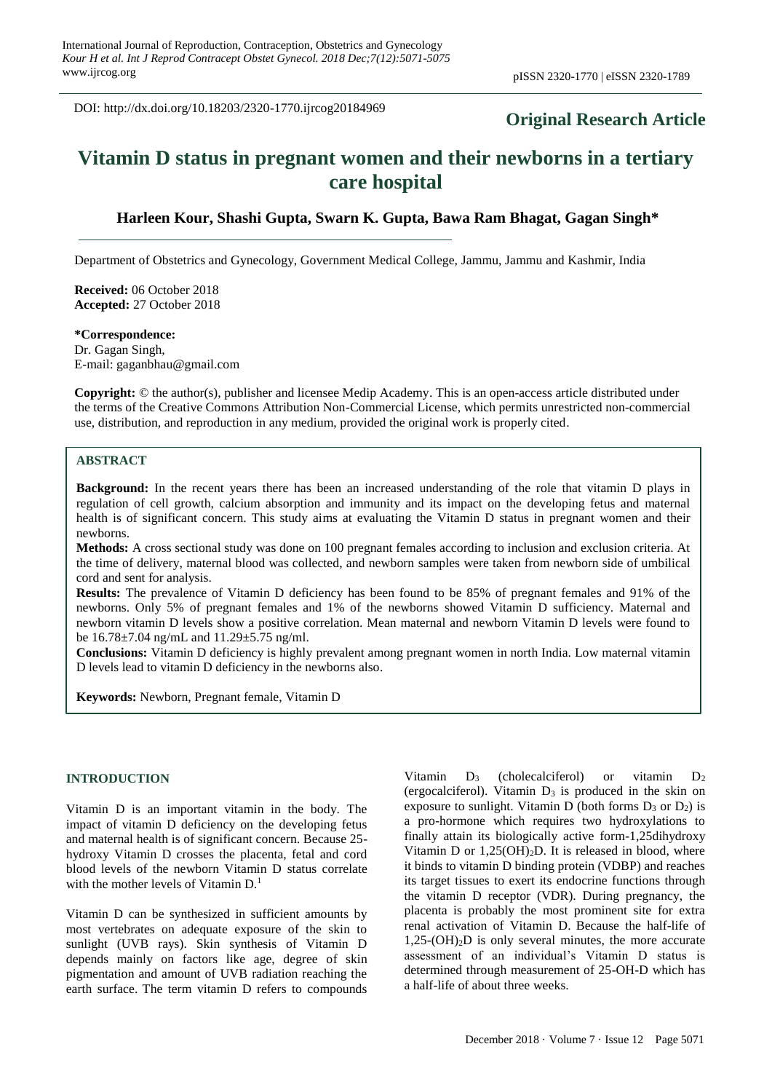DOI: http://dx.doi.org/10.18203/2320-1770.ijrcog20184969

# **Original Research Article**

# **Vitamin D status in pregnant women and their newborns in a tertiary care hospital**

### **Harleen Kour, Shashi Gupta, Swarn K. Gupta, Bawa Ram Bhagat, Gagan Singh\***

Department of Obstetrics and Gynecology, Government Medical College, Jammu, Jammu and Kashmir, India

**Received:** 06 October 2018 **Accepted:** 27 October 2018

#### **\*Correspondence:** Dr. Gagan Singh,

E-mail: gaganbhau@gmail.com

**Copyright:** © the author(s), publisher and licensee Medip Academy. This is an open-access article distributed under the terms of the Creative Commons Attribution Non-Commercial License, which permits unrestricted non-commercial use, distribution, and reproduction in any medium, provided the original work is properly cited.

## **ABSTRACT**

**Background:** In the recent years there has been an increased understanding of the role that vitamin D plays in regulation of cell growth, calcium absorption and immunity and its impact on the developing fetus and maternal health is of significant concern. This study aims at evaluating the Vitamin D status in pregnant women and their newborns.

**Methods:** A cross sectional study was done on 100 pregnant females according to inclusion and exclusion criteria. At the time of delivery, maternal blood was collected, and newborn samples were taken from newborn side of umbilical cord and sent for analysis.

**Results:** The prevalence of Vitamin D deficiency has been found to be 85% of pregnant females and 91% of the newborns. Only 5% of pregnant females and 1% of the newborns showed Vitamin D sufficiency. Maternal and newborn vitamin D levels show a positive correlation. Mean maternal and newborn Vitamin D levels were found to be 16.78±7.04 ng/mL and 11.29±5.75 ng/ml.

**Conclusions:** Vitamin D deficiency is highly prevalent among pregnant women in north India. Low maternal vitamin D levels lead to vitamin D deficiency in the newborns also.

**Keywords:** Newborn, Pregnant female, Vitamin D

#### **INTRODUCTION**

Vitamin D is an important vitamin in the body. The impact of vitamin D deficiency on the developing fetus and maternal health is of significant concern. Because 25 hydroxy Vitamin D crosses the placenta, fetal and cord blood levels of the newborn Vitamin D status correlate with the mother levels of Vitamin  $D<sup>1</sup>$ .

Vitamin D can be synthesized in sufficient amounts by most vertebrates on adequate exposure of the skin to sunlight (UVB rays). Skin synthesis of Vitamin D depends mainly on factors like age, degree of skin pigmentation and amount of UVB radiation reaching the earth surface. The term vitamin D refers to compounds Vitamin  $D_3$  (cholecalciferol) or vitamin  $D_2$ (ergocalciferol). Vitamin  $D_3$  is produced in the skin on exposure to sunlight. Vitamin D (both forms  $D_3$  or  $D_2$ ) is a pro-hormone which requires two hydroxylations to finally attain its biologically active form-1,25dihydroxy Vitamin D or  $1,25(OH)<sub>2</sub>D$ . It is released in blood, where it binds to vitamin D binding protein (VDBP) and reaches its target tissues to exert its endocrine functions through the vitamin D receptor (VDR). During pregnancy, the placenta is probably the most prominent site for extra renal activation of Vitamin D. Because the half-life of 1,25-(OH)2D is only several minutes, the more accurate assessment of an individual's Vitamin D status is determined through measurement of 25-OH-D which has a half-life of about three weeks.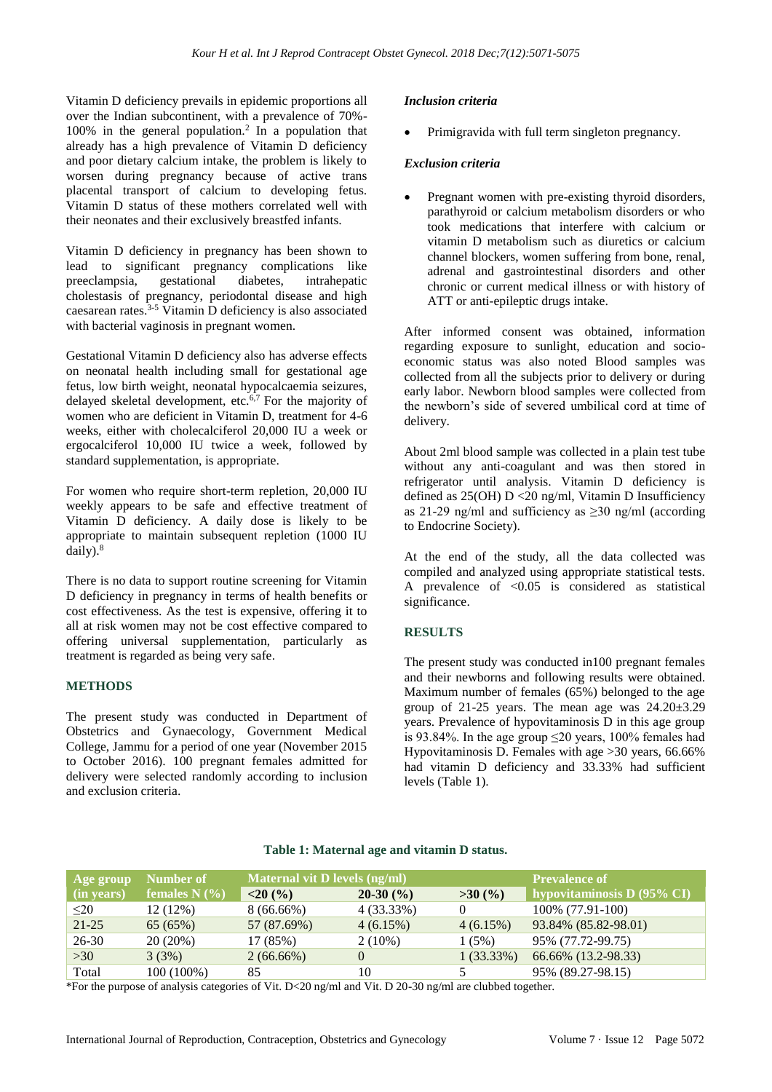Vitamin D deficiency prevails in epidemic proportions all over the Indian subcontinent, with a prevalence of 70%- 100% in the general population.<sup>2</sup> In a population that already has a high prevalence of Vitamin D deficiency and poor dietary calcium intake, the problem is likely to worsen during pregnancy because of active trans placental transport of calcium to developing fetus. Vitamin D status of these mothers correlated well with their neonates and their exclusively breastfed infants.

Vitamin D deficiency in pregnancy has been shown to lead to significant pregnancy complications like preeclampsia, gestational diabetes, intrahepatic cholestasis of pregnancy, periodontal disease and high caesarean rates.<sup>3-5</sup> Vitamin D deficiency is also associated with bacterial vaginosis in pregnant women.

Gestational Vitamin D deficiency also has adverse effects on neonatal health including small for gestational age fetus, low birth weight, neonatal hypocalcaemia seizures, delayed skeletal development, etc.6,7 For the majority of women who are deficient in Vitamin D, treatment for 4-6 weeks, either with cholecalciferol 20,000 IU a week or ergocalciferol 10,000 IU twice a week, followed by standard supplementation, is appropriate.

For women who require short-term repletion, 20,000 IU weekly appears to be safe and effective treatment of Vitamin D deficiency. A daily dose is likely to be appropriate to maintain subsequent repletion (1000 IU daily).<sup>8</sup>

There is no data to support routine screening for Vitamin D deficiency in pregnancy in terms of health benefits or cost effectiveness. As the test is expensive, offering it to all at risk women may not be cost effective compared to offering universal supplementation, particularly as treatment is regarded as being very safe.

#### **METHODS**

The present study was conducted in Department of Obstetrics and Gynaecology, Government Medical College, Jammu for a period of one year (November 2015 to October 2016). 100 pregnant females admitted for delivery were selected randomly according to inclusion and exclusion criteria.

#### *Inclusion criteria*

Primigravida with full term singleton pregnancy.

#### *Exclusion criteria*

Pregnant women with pre-existing thyroid disorders, parathyroid or calcium metabolism disorders or who took medications that interfere with calcium or vitamin D metabolism such as diuretics or calcium channel blockers, women suffering from bone, renal, adrenal and gastrointestinal disorders and other chronic or current medical illness or with history of ATT or anti-epileptic drugs intake.

After informed consent was obtained, information regarding exposure to sunlight, education and socioeconomic status was also noted Blood samples was collected from all the subjects prior to delivery or during early labor. Newborn blood samples were collected from the newborn's side of severed umbilical cord at time of delivery.

About 2ml blood sample was collected in a plain test tube without any anti-coagulant and was then stored in refrigerator until analysis. Vitamin D deficiency is defined as 25(OH) D <20 ng/ml, Vitamin D Insufficiency as 21-29 ng/ml and sufficiency as  $\geq$ 30 ng/ml (according to Endocrine Society).

At the end of the study, all the data collected was compiled and analyzed using appropriate statistical tests. A prevalence of <0.05 is considered as statistical significance.

#### **RESULTS**

The present study was conducted in100 pregnant females and their newborns and following results were obtained. Maximum number of females (65%) belonged to the age group of  $21-25$  years. The mean age was  $24.20\pm3.29$ years. Prevalence of hypovitaminosis D in this age group is 93.84%. In the age group  $\leq$ 20 years, 100% females had Hypovitaminosis D. Females with age >30 years, 66.66% had vitamin D deficiency and 33.33% had sufficient levels (Table 1).

| Age group  | Number of       | <b>Maternal vit D levels (ng/ml)</b> |            |              | <b>Prevalence of</b>       |  |
|------------|-----------------|--------------------------------------|------------|--------------|----------------------------|--|
| (in years) | females $N$ (%) | <20(%)                               | $20-30(%)$ | >30(%)       | hypovitaminosis D (95% CI) |  |
| $20$       | $12(12\%)$      | $8(66.66\%)$                         | 4 (33.33%) | $\theta$     | 100% (77.91-100)           |  |
| $21 - 25$  | 65(65%)         | 57 (87.69%)                          | 4(6.15%)   | $4(6.15\%)$  | 93.84% (85.82-98.01)       |  |
| $26 - 30$  | 20(20%)         | 17 (85%)                             | $2(10\%)$  | 1(5%)        | 95% (77.72-99.75)          |  |
| $>30$      | 3(3%)           | $2(66.66\%)$                         | $\Omega$   | $1(33.33\%)$ | 66.66% (13.2-98.33)        |  |
| Total      | 100 (100%)      | 85                                   | 10         |              | 95% (89.27-98.15)          |  |

#### **Table 1: Maternal age and vitamin D status.**

\*For the purpose of analysis categories of Vit. D<20 ng/ml and Vit. D 20-30 ng/ml are clubbed together.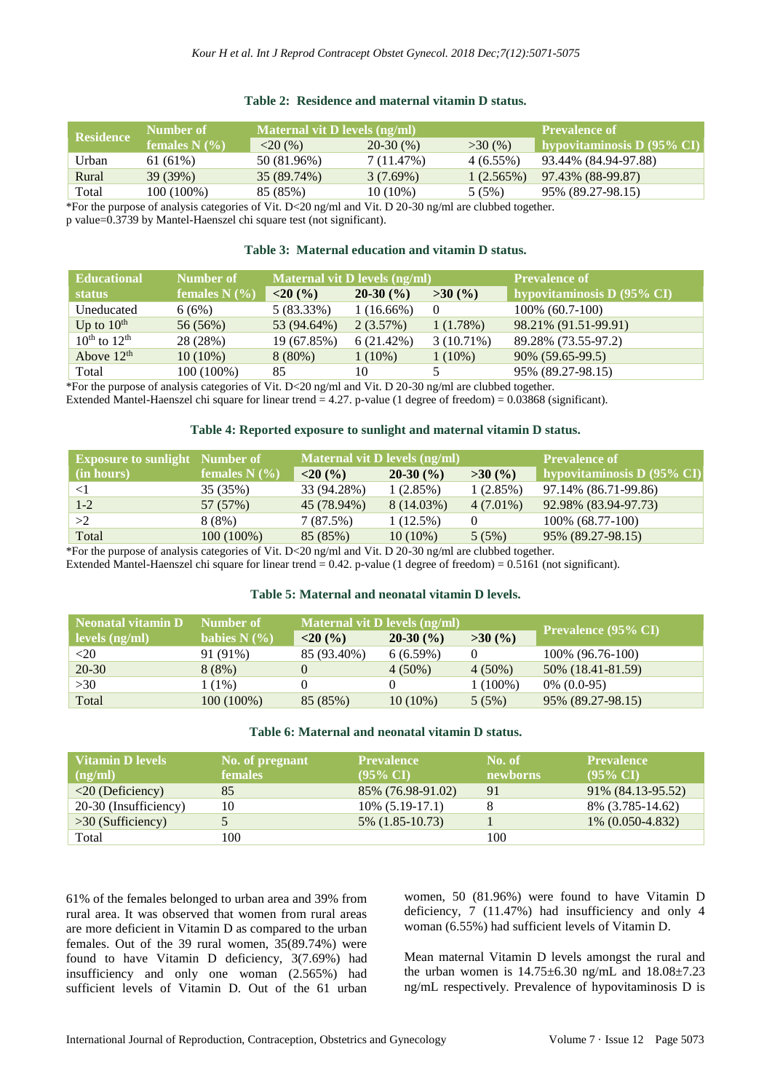| Table 2: Residence and maternal vitamin D status. |  |  |
|---------------------------------------------------|--|--|
|                                                   |  |  |

| <b>Residence</b> | Number of       | Maternal vit D levels (ng/ml) |             |             | ' Prevalence of <sub>'</sub>          |  |
|------------------|-----------------|-------------------------------|-------------|-------------|---------------------------------------|--|
|                  | females $N(\%)$ | $<$ 20 (%)                    | $20-30(%)$  | >30(%)      | hypovitaminosis D $(95\% \text{ CI})$ |  |
| Urban            | 61 (61%)        | 50 (81.96%)                   | 7 (11.47%)  | $4(6.55\%)$ | 93.44% (84.94-97.88)                  |  |
| Rural            | 39 (39%)        | 35 (89.74%)                   | $3(7.69\%)$ | 1(2.565%)   | 97.43% (88-99.87)                     |  |
| Total            | $100(100\%)$    | 85 (85%)                      | $10(10\%)$  | 5(5%)       | 95% (89.27-98.15)                     |  |

\*For the purpose of analysis categories of Vit. D<20 ng/ml and Vit. D 20-30 ng/ml are clubbed together.

p value=0.3739 by Mantel-Haenszel chi square test (not significant).

#### **Table 3: Maternal education and vitamin D status.**

| <b>Educational</b>                   | Number of       | <b>Maternal vit D levels (ng/ml)</b> |              |              | <b>Prevalence of</b>       |  |
|--------------------------------------|-----------------|--------------------------------------|--------------|--------------|----------------------------|--|
| <b>status</b>                        | females $N$ (%) | <20(%)                               | $20-30(%)$   | >30(%)       | hypovitaminosis D (95% CI) |  |
| Uneducated                           | 6(6%)           | $5(83.33\%)$                         | $1(16.66\%)$ | $\theta$     | $100\%$ (60.7-100)         |  |
| Up to $10^{\text{th}}$               | 56 (56%)        | 53 (94.64%)                          | 2(3.57%)     | 1(1.78%)     | 98.21% (91.51-99.91)       |  |
| $10^{\text{th}}$ to $12^{\text{th}}$ | 28 (28%)        | 19 (67.85%)                          | $6(21.42\%)$ | $3(10.71\%)$ | 89.28% (73.55-97.2)        |  |
| Above $12th$                         | $10(10\%)$      | $8(80\%)$                            | $1(10\%)$    | $1(10\%)$    | 90% (59.65-99.5)           |  |
| Total                                | 100 (100%)      | 85                                   | 10           |              | 95% (89.27-98.15)          |  |

\*For the purpose of analysis categories of Vit. D<20 ng/ml and Vit. D 20-30 ng/ml are clubbed together.

Extended Mantel-Haenszel chi square for linear trend  $= 4.27$ . p-value (1 degree of freedom)  $= 0.03868$  (significant).

#### **Table 4: Reported exposure to sunlight and maternal vitamin D status.**

| <b>Exposure to sunlight Number of</b> |                     | <b>Maternal vit D levels (ng/ml)</b> |              |             | <b>Prevalence of</b>       |
|---------------------------------------|---------------------|--------------------------------------|--------------|-------------|----------------------------|
| (in hours)                            | females $N$ $(\% )$ | < 20(96)                             | $20-30(%)$   | >30(%)      | hypovitaminosis D (95% CI) |
|                                       | 35 (35%)            | 33 (94.28%)                          | 1(2.85%)     | 1(2.85%)    | 97.14% (86.71-99.86)       |
| $1 - 2$                               | 57 (57%)            | 45 (78.94%)                          | $8(14.03\%)$ | $4(7.01\%)$ | 92.98% (83.94-97.73)       |
| >2                                    | 8 (8%)              | 7(87.5%)                             | $1(12.5\%)$  | $\theta$    | $100\%$ (68.77-100)        |
| Total                                 | $100(100\%)$        | 85 (85%)                             | $10(10\%)$   | 5(5%)       | 95% (89.27-98.15)          |

\*For the purpose of analysis categories of Vit. D<20 ng/ml and Vit. D 20-30 ng/ml are clubbed together.

Extended Mantel-Haenszel chi square for linear trend  $= 0.42$ . p-value (1 degree of freedom) = 0.5161 (not significant).

#### **Table 5: Maternal and neonatal vitamin D levels.**

| Neonatal vitamin D                          | Number of       | Maternal vit D levels (ng/ml) |            |            |                            |
|---------------------------------------------|-----------------|-------------------------------|------------|------------|----------------------------|
| $\lceil \text{levels}(\text{ng/ml}) \rceil$ | babies $N(\% )$ | < 20(96)                      | $20-30(%)$ | >30(%)     | <b>Prevalence (95% CI)</b> |
| <20                                         | 91 (91%)        | 85 (93.40%)                   | 6(6.59%)   |            | 100\% (96.76-100)          |
| $20-30$                                     | 8(8%)           |                               | $4(50\%)$  | $4(50\%)$  | 50% (18.41-81.59)          |
| >30                                         | 1 (1%)          |                               |            | $1(100\%)$ | $0\%$ (0.0-95)             |
| Total                                       | $100(100\%)$    | 85 (85%)                      | $10(10\%)$ | 5(5%)      | 95% (89.27-98.15)          |

#### **Table 6: Maternal and neonatal vitamin D status.**

| <b>Vitamin D levels</b><br>(ng/ml) | No. of pregnant<br><b>females</b> | <b>Prevalence</b><br>$(95\% \text{ CI})$ | No. of<br>newborns | <b>Prevalence</b><br>$(95\% \text{ CI})$ |
|------------------------------------|-----------------------------------|------------------------------------------|--------------------|------------------------------------------|
| $\langle 20 \rangle$ (Deficiency)  | 85                                | 85% (76.98-91.02)                        | 91                 | 91\% (84.13-95.52)                       |
| 20-30 (Insufficiency)              | 10                                | $10\%$ (5.19-17.1)                       |                    | 8% (3.785-14.62)                         |
| $>30$ (Sufficiency)                |                                   | $5\%$ (1.85-10.73)                       |                    | 1% (0.050-4.832)                         |
| Total                              | 100                               |                                          | 100                |                                          |

61% of the females belonged to urban area and 39% from rural area. It was observed that women from rural areas are more deficient in Vitamin D as compared to the urban females. Out of the 39 rural women, 35(89.74%) were found to have Vitamin D deficiency, 3(7.69%) had insufficiency and only one woman (2.565%) had sufficient levels of Vitamin D. Out of the 61 urban women, 50 (81.96%) were found to have Vitamin D deficiency, 7 (11.47%) had insufficiency and only 4 woman (6.55%) had sufficient levels of Vitamin D.

Mean maternal Vitamin D levels amongst the rural and the urban women is  $14.75 \pm 6.30$  ng/mL and  $18.08 \pm 7.23$ ng/mL respectively. Prevalence of hypovitaminosis D is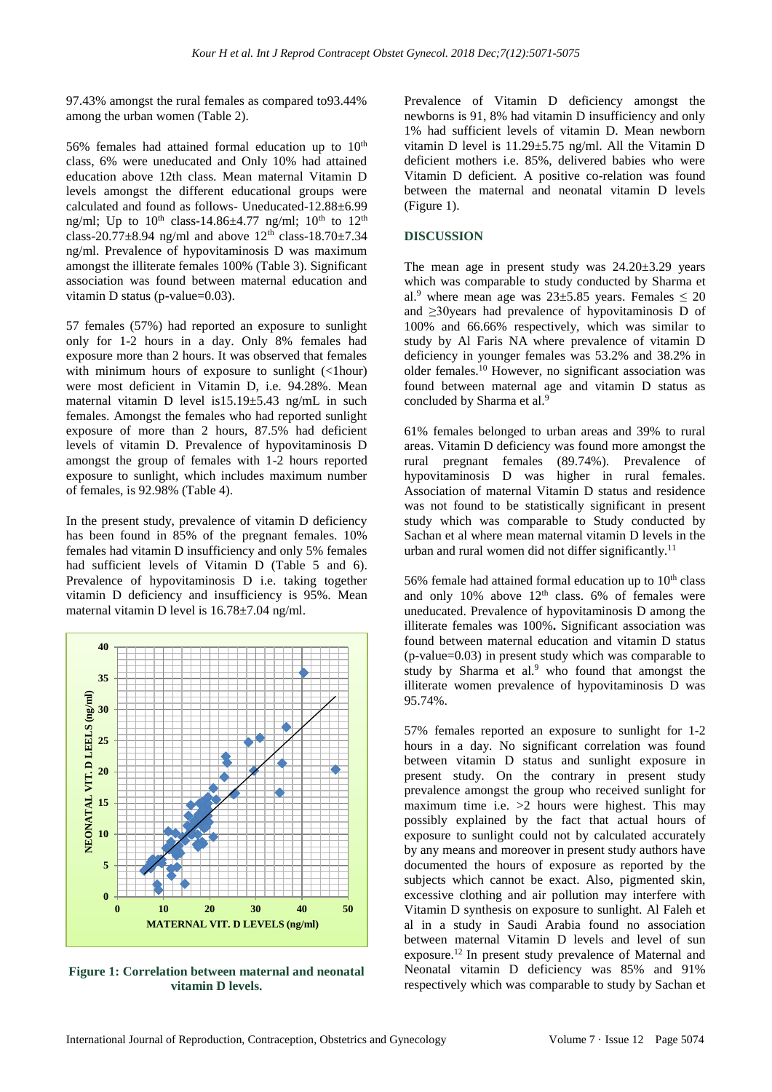97.43% amongst the rural females as compared to93.44% among the urban women (Table 2).

56% females had attained formal education up to  $10<sup>th</sup>$ class, 6% were uneducated and Only 10% had attained education above 12th class. Mean maternal Vitamin D levels amongst the different educational groups were calculated and found as follows- Uneducated-12.88±6.99 ng/ml; Up to  $10^{th}$  class-14.86 $\pm$ 4.77 ng/ml;  $10^{th}$  to  $12^{th}$ class-20.77 $\pm$ 8.94 ng/ml and above 12<sup>th</sup> class-18.70 $\pm$ 7.34 ng/ml. Prevalence of hypovitaminosis D was maximum amongst the illiterate females 100% (Table 3). Significant association was found between maternal education and vitamin D status (p-value=0.03).

57 females (57%) had reported an exposure to sunlight only for 1-2 hours in a day. Only 8% females had exposure more than 2 hours. It was observed that females with minimum hours of exposure to sunlight  $(\langle$ 1hour) were most deficient in Vitamin D, i.e. 94.28%. Mean maternal vitamin D level is15.19±5.43 ng/mL in such females. Amongst the females who had reported sunlight exposure of more than 2 hours, 87.5% had deficient levels of vitamin D. Prevalence of hypovitaminosis D amongst the group of females with 1-2 hours reported exposure to sunlight, which includes maximum number of females, is 92.98% (Table 4).

In the present study, prevalence of vitamin D deficiency has been found in 85% of the pregnant females. 10% females had vitamin D insufficiency and only 5% females had sufficient levels of Vitamin D (Table 5 and 6). Prevalence of hypovitaminosis D i.e. taking together vitamin D deficiency and insufficiency is 95%. Mean maternal vitamin D level is 16.78±7.04 ng/ml.



**Figure 1: Correlation between maternal and neonatal vitamin D levels.**

Prevalence of Vitamin D deficiency amongst the newborns is 91, 8% had vitamin D insufficiency and only 1% had sufficient levels of vitamin D. Mean newborn vitamin D level is 11.29±5.75 ng/ml. All the Vitamin D deficient mothers i.e. 85%, delivered babies who were Vitamin D deficient. A positive co-relation was found between the maternal and neonatal vitamin D levels (Figure 1).

#### **DISCUSSION**

The mean age in present study was  $24.20 \pm 3.29$  years which was comparable to study conducted by Sharma et al.<sup>9</sup> where mean age was  $23\pm5.85$  years. Females  $\leq 20$ and ≥30years had prevalence of hypovitaminosis D of 100% and 66.66% respectively, which was similar to study by Al Faris NA where prevalence of vitamin D deficiency in younger females was 53.2% and 38.2% in older females.<sup>10</sup> However, no significant association was found between maternal age and vitamin D status as concluded by Sharma et al.<sup>9</sup>

61% females belonged to urban areas and 39% to rural areas. Vitamin D deficiency was found more amongst the rural pregnant females (89.74%). Prevalence of hypovitaminosis D was higher in rural females. Association of maternal Vitamin D status and residence was not found to be statistically significant in present study which was comparable to Study conducted by Sachan et al where mean maternal vitamin D levels in the urban and rural women did not differ significantly.<sup>11</sup>

56% female had attained formal education up to  $10<sup>th</sup>$  class and only 10% above  $12<sup>th</sup>$  class. 6% of females were uneducated. Prevalence of hypovitaminosis D among the illiterate females was 100%**.** Significant association was found between maternal education and vitamin D status (p-value=0.03) in present study which was comparable to study by Sharma et al.<sup>9</sup> who found that amongst the illiterate women prevalence of hypovitaminosis D was 95.74%.

57% females reported an exposure to sunlight for 1-2 hours in a day. No significant correlation was found between vitamin D status and sunlight exposure in present study. On the contrary in present study prevalence amongst the group who received sunlight for maximum time i.e. >2 hours were highest. This may possibly explained by the fact that actual hours of exposure to sunlight could not by calculated accurately by any means and moreover in present study authors have documented the hours of exposure as reported by the subjects which cannot be exact. Also, pigmented skin, excessive clothing and air pollution may interfere with Vitamin D synthesis on exposure to sunlight. Al Faleh et al in a study in Saudi Arabia found no association between maternal Vitamin D levels and level of sun exposure.<sup>12</sup> In present study prevalence of Maternal and Neonatal vitamin D deficiency was 85% and 91% respectively which was comparable to study by Sachan et